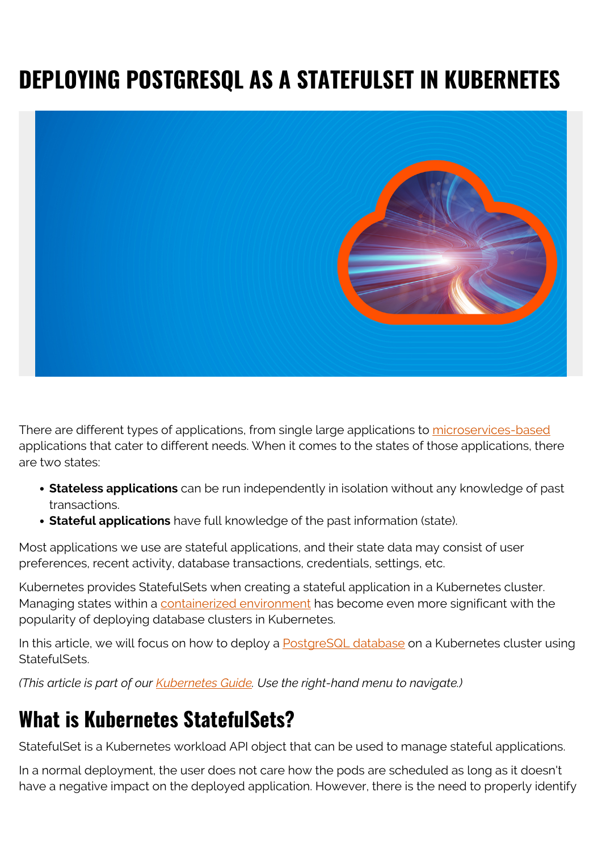# **DEPLOYING POSTGRESQL AS A STATEFULSET IN KUBERNETES**



There are different types of applications, from single large applications to [microservices-based](https://blogs.bmc.com/blogs/microservices-architecture/) applications that cater to different needs. When it comes to the states of those applications, there are two states:

- **Stateless applications** can be run independently in isolation without any knowledge of past transactions.
- **Stateful applications** have full knowledge of the past information (state).

Most applications we use are stateful applications, and their state data may consist of user preferences, recent activity, database transactions, credentials, settings, etc.

Kubernetes provides StatefulSets when creating a stateful application in a Kubernetes cluster. Managing states within a [containerized environment](https://blogs.bmc.com/blogs/what-is-a-container-containerization-explained/) has become even more significant with the popularity of deploying database clusters in Kubernetes.

In this article, we will focus on how to deploy a **PostgreSQL** database on a Kubernetes cluster using StatefulSets.

*(This article is part of our [Kubernetes Guide](https://blogs.bmc.com/blogs/what-is-kubernetes/). Use the right-hand menu to navigate.)*

## **What is Kubernetes StatefulSets?**

StatefulSet is a Kubernetes workload API object that can be used to manage stateful applications.

In a normal deployment, the user does not care how the pods are scheduled as long as it doesn't have a negative impact on the deployed application. However, there is the need to properly identify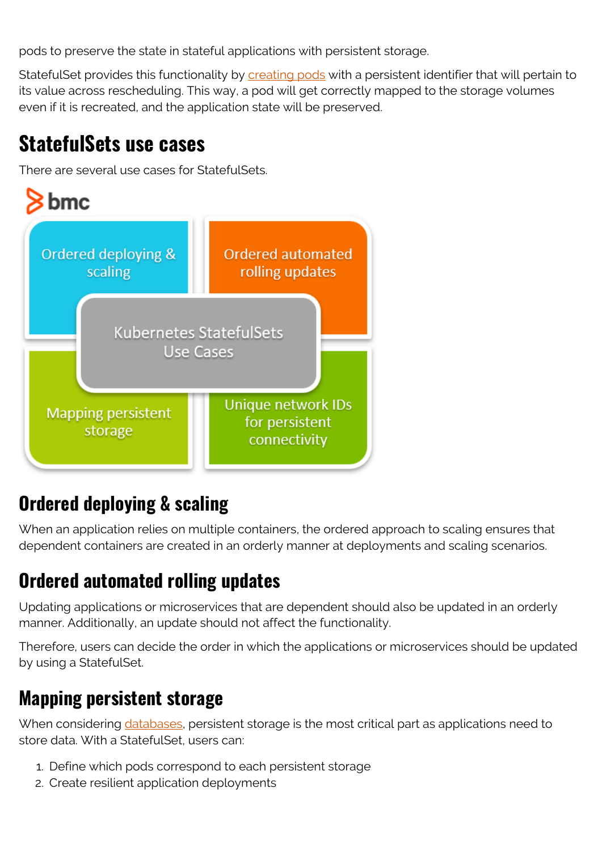pods to preserve the state in stateful applications with persistent storage.

StatefulSet provides this functionality by [creating pods](https://blogs.bmc.com/blogs/kubernetes-pods/) with a persistent identifier that will pertain to its value across rescheduling. This way, a pod will get correctly mapped to the storage volumes even if it is recreated, and the application state will be preserved.

#### **StatefulSets use cases**

There are several use cases for StatefulSets.



### **Ordered deploying & scaling**

When an application relies on multiple containers, the ordered approach to scaling ensures that dependent containers are created in an orderly manner at deployments and scaling scenarios.

### **Ordered automated rolling updates**

Updating applications or microservices that are dependent should also be updated in an orderly manner. Additionally, an update should not affect the functionality.

Therefore, users can decide the order in which the applications or microservices should be updated by using a StatefulSet.

#### **Mapping persistent storage**

When considering [databases,](https://blogs.bmc.com/blogs/data-lake-vs-data-warehouse-vs-database-whats-the-difference/) persistent storage is the most critical part as applications need to store data. With a StatefulSet, users can:

- 1. Define which pods correspond to each persistent storage
- 2. Create resilient application deployments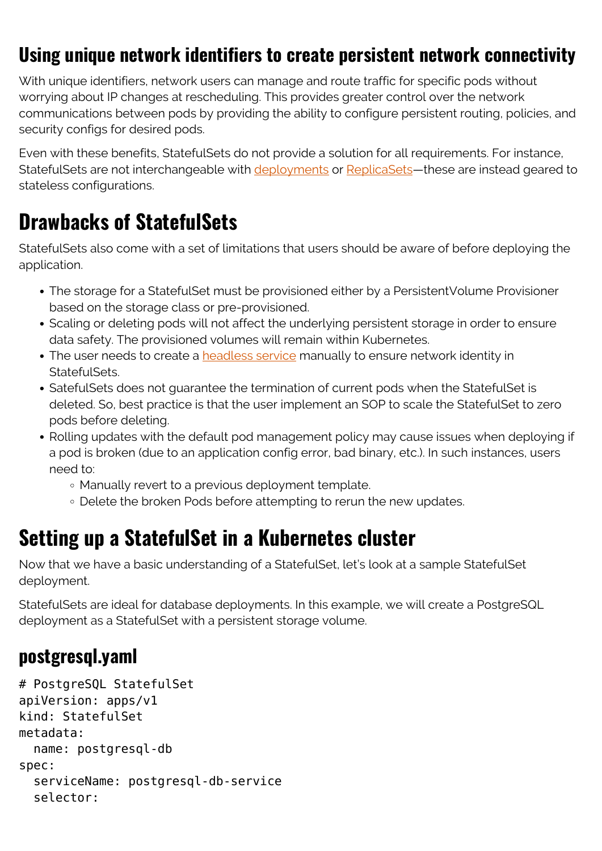#### **Using unique network identifiers to create persistent network connectivity**

With unique identifiers, network users can manage and route traffic for specific pods without worrying about IP changes at rescheduling. This provides greater control over the network communications between pods by providing the ability to configure persistent routing, policies, and security configs for desired pods.

Even with these benefits, StatefulSets do not provide a solution for all requirements. For instance, StatefulSets are not interchangeable with [deployments](https://blogs.bmc.com/blogs/kubernetes-deployment/) or [ReplicaSets](https://blogs.bmc.com/blogs/kubernetes-replicaset/)—these are instead geared to stateless configurations.

## **Drawbacks of StatefulSets**

StatefulSets also come with a set of limitations that users should be aware of before deploying the application.

- The storage for a StatefulSet must be provisioned either by a PersistentVolume Provisioner based on the storage class or pre-provisioned.
- Scaling or deleting pods will not affect the underlying persistent storage in order to ensure data safety. The provisioned volumes will remain within Kubernetes.
- The user needs to create a [headless service](https://blogs.bmc.com/blogs/kubernetes-services/) manually to ensure network identity in StatefulSets.
- SatefulSets does not guarantee the termination of current pods when the StatefulSet is deleted. So, best practice is that the user implement an SOP to scale the StatefulSet to zero pods before deleting.
- Rolling updates with the default pod management policy may cause issues when deploying if a pod is broken (due to an application config error, bad binary, etc.). In such instances, users need to:
	- Manually revert to a previous deployment template.
	- Delete the broken Pods before attempting to rerun the new updates.

## **Setting up a StatefulSet in a Kubernetes cluster**

Now that we have a basic understanding of a StatefulSet, let's look at a sample StatefulSet deployment.

StatefulSets are ideal for database deployments. In this example, we will create a PostgreSQL deployment as a StatefulSet with a persistent storage volume.

#### **postgresql.yaml**

```
# PostgreSQL StatefulSet
apiVersion: apps/v1
kind: StatefulSet
metadata:
   name: postgresql-db
spec:
   serviceName: postgresql-db-service
   selector:
```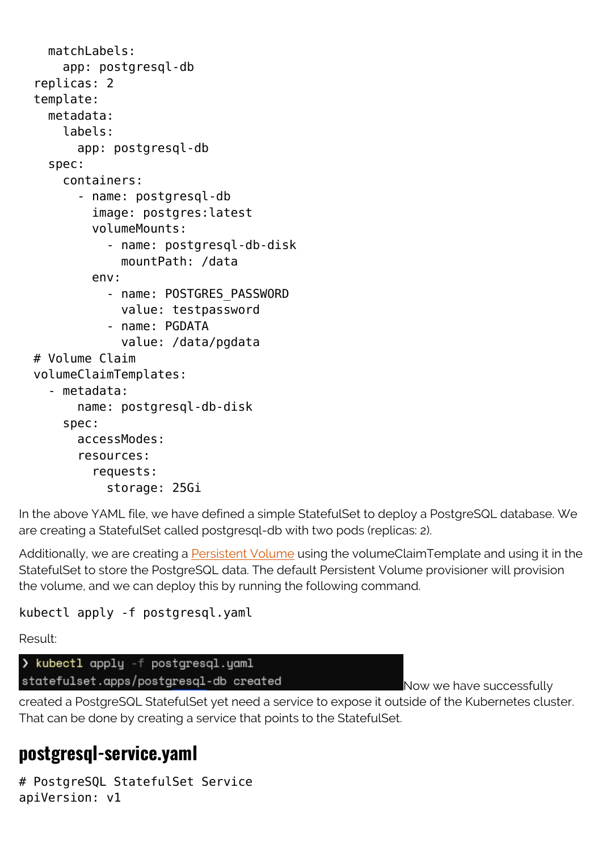```
 matchLabels:
     app: postgresql-db
 replicas: 2
 template:
   metadata:
     labels:
       app: postgresql-db
   spec:
     containers:
       - name: postgresql-db
          image: postgres:latest
          volumeMounts:
            - name: postgresql-db-disk
              mountPath: /data
          env:
           - name: POSTGRES PASSWORD
              value: testpassword
            - name: PGDATA
              value: /data/pgdata
 # Volume Claim
 volumeClaimTemplates:
   - metadata:
       name: postgresql-db-disk
     spec:
       accessModes:
       resources:
          requests:
            storage: 25Gi
```
In the above YAML file, we have defined a simple StatefulSet to deploy a PostgreSQL database. We are creating a StatefulSet called postgresql-db with two pods (replicas: 2).

Additionally, we are creating a **Persistent Volume** using the volumeClaimTemplate and using it in the StatefulSet to store the PostgreSQL data. The default Persistent Volume provisioner will provision the volume, and we can deploy this by running the following command.

kubectl apply -f postgresql.yaml

Result:

> kubectl apply -f postgresql.yaml statefulset.apps/postgresql-db created

Now we have successfully

created a PostgreSQL StatefulSet yet need a service to expose it outside of the Kubernetes cluster. That can be done by creating a service that points to the StatefulSet.

#### **postgresql-service.yaml**

# PostgreSQL StatefulSet Service apiVersion: v1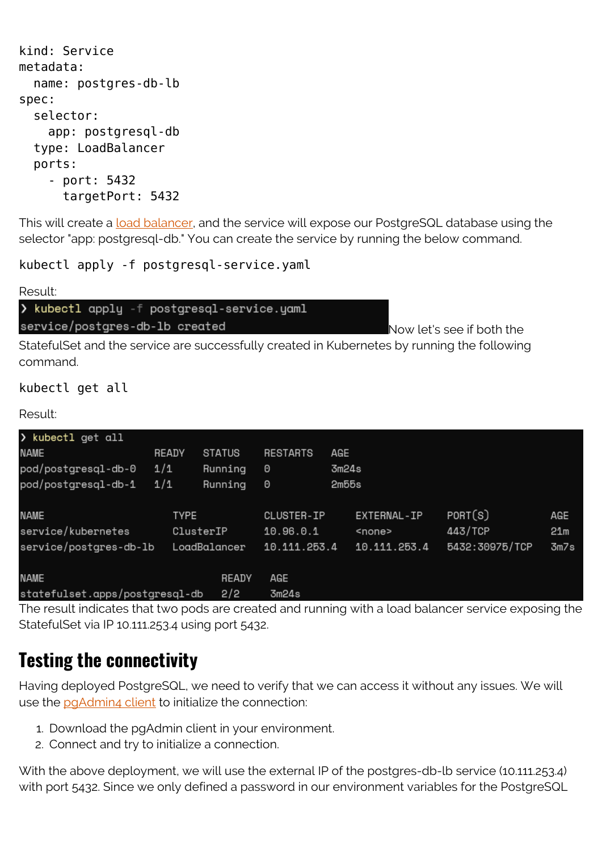```
kind: Service
metadata:
   name: postgres-db-lb
spec:
   selector:
     app: postgresql-db
   type: LoadBalancer
   ports:
     - port: 5432
       targetPort: 5432
```
This will create a [load balancer,](https://blogs.bmc.com/blogs/load-balancing/) and the service will expose our PostgreSQL database using the selector "app: postgresql-db." You can create the service by running the below command.

kubectl apply -f postgresql-service.yaml

Result: > kubectl apply -f postgresql-service.yaml service/postgres-db-lb created

Now let's see if both the

StatefulSet and the service are successfully created in Kubernetes by running the following command.

kubectl get all

Result:

| > kubectl get all              |       |               |                 |       |               |                |      |
|--------------------------------|-------|---------------|-----------------|-------|---------------|----------------|------|
| NAME                           | READY | <b>STATUS</b> | <b>RESTARTS</b> | AGE   |               |                |      |
| pod/postgresql-db-0            | 1/1   | Running       | 0               | 3m24s |               |                |      |
| pod/postgresgl-db-1            | 1/1   | Running       | 0               | 2m55s |               |                |      |
| <b>NAME</b>                    | TYPE  |               | CLUSTER-IP      |       | EXTERNAL-IP   | PORT(S)        | AGE  |
| service/kubernetes             |       | ClusterIP     | 10.96.0.1       |       | <none></none> | 443/TCP        | 21m  |
| service/postgres-db-lb         |       | LoadBalancer  | 10.111.253.4    |       | 10.111.253.4  | 5432:30975/TCP | 3m7s |
| <b>NAME</b>                    |       | READY         | AGE             |       |               |                |      |
| statefulset.apps/postgresql-db | 3m24s |               |                 |       |               |                |      |

The result indicates that two pods are created and running with a load balancer service exposing the StatefulSet via IP 10.111.253.4 using port 5432.

#### **Testing the connectivity**

Having deployed PostgreSQL, we need to verify that we can access it without any issues. We will use the [pgAdmin4 client](https://www.pgadmin.org/download/) to initialize the connection:

- 1. Download the pgAdmin client in your environment.
- 2. Connect and try to initialize a connection.

With the above deployment, we will use the external IP of the postgres-db-lb service (10.111.253.4) with port 5432. Since we only defined a password in our environment variables for the PostgreSQL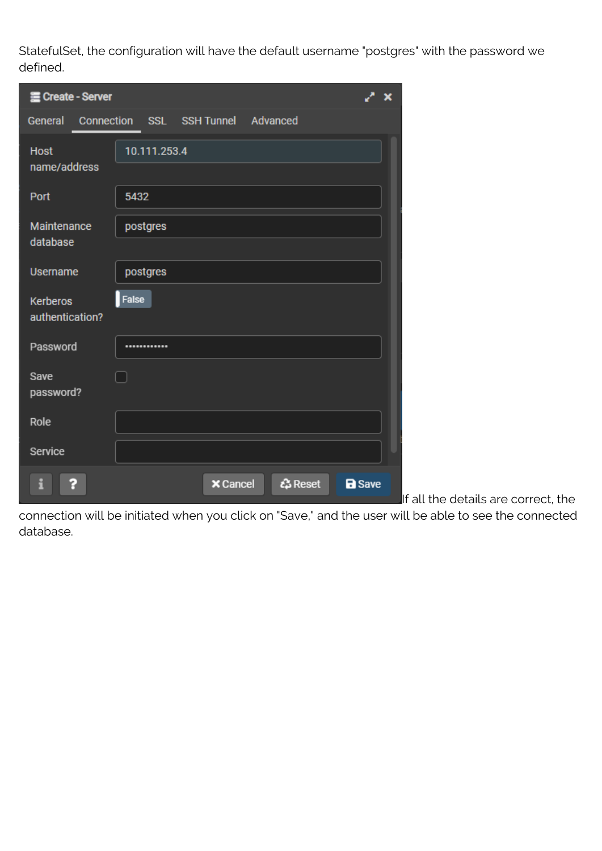StatefulSet, the configuration will have the default username "postgres" with the password we defined.

| He Create - Server                 |                                   |               |  |  |  |  |  |  |  |
|------------------------------------|-----------------------------------|---------------|--|--|--|--|--|--|--|
| Connection<br>General              | SSL SSH Tunnel<br>Advanced        |               |  |  |  |  |  |  |  |
| <b>Host</b><br>name/address        | 10.111.253.4                      |               |  |  |  |  |  |  |  |
| Port                               | 5432                              |               |  |  |  |  |  |  |  |
| Maintenance<br>database            | postgres                          |               |  |  |  |  |  |  |  |
| <b>Username</b>                    | postgres                          |               |  |  |  |  |  |  |  |
| <b>Kerberos</b><br>authentication? | False                             |               |  |  |  |  |  |  |  |
| Password                           |                                   |               |  |  |  |  |  |  |  |
| Save<br>password?                  |                                   |               |  |  |  |  |  |  |  |
| Role                               |                                   |               |  |  |  |  |  |  |  |
| Service                            |                                   |               |  |  |  |  |  |  |  |
|                                    | <u>ැ</u> Reset<br><b>X</b> Cancel | <b>a</b> Save |  |  |  |  |  |  |  |

 $\blacksquare$ If all the details are correct, the

connection will be initiated when you click on "Save," and the user will be able to see the connected database.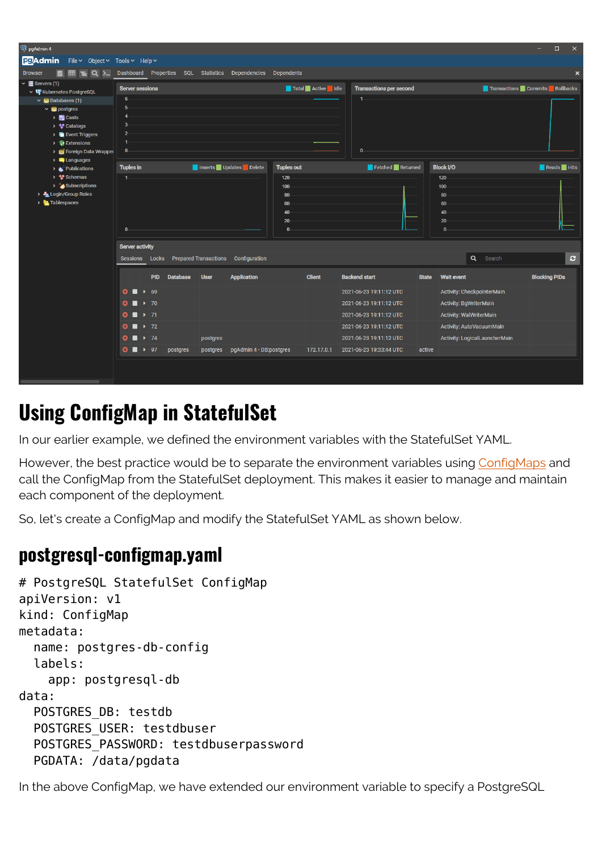| <sup>4</sup> pgAdmin 4                                                                      |                                           |                        |            |                 |             |                                                    |                   |                   |                                |              |                                | $\Box$               | $\times$                  |
|---------------------------------------------------------------------------------------------|-------------------------------------------|------------------------|------------|-----------------|-------------|----------------------------------------------------|-------------------|-------------------|--------------------------------|--------------|--------------------------------|----------------------|---------------------------|
| <b>BOAdmin</b> File v Object v Tools v Help v                                               |                                           |                        |            |                 |             |                                                    |                   |                   |                                |              |                                |                      |                           |
| The Q >_ Dashboard Properties SQL Statistics Dependencies Dependents<br><b>Browser</b><br>R |                                           |                        |            |                 |             |                                                    |                   |                   |                                |              |                                |                      | $\boldsymbol{\mathsf{x}}$ |
| $\vee \equiv$ Servers (1)<br>↓ n Kubernetes PostgreSQL                                      | <b>Server sessions</b>                    |                        |            |                 |             |                                                    |                   | Total Active Idle | <b>Transactions per second</b> |              | Transactions Commits Rollbacks |                      |                           |
| $\vee$ $\triangle$ Databases (1)                                                            | $6-$                                      |                        |            |                 |             |                                                    |                   |                   | $1 -$                          |              |                                |                      |                           |
| $\vee$ $\blacksquare$ postgres                                                              |                                           |                        |            |                 |             |                                                    |                   |                   |                                |              |                                |                      |                           |
| > <b>R</b> Casts                                                                            |                                           |                        |            |                 |             |                                                    |                   |                   |                                |              |                                |                      |                           |
| > % Catalogs                                                                                |                                           |                        |            |                 |             |                                                    |                   |                   |                                |              |                                |                      |                           |
| $\triangleright$ <b>Exent Triggers</b>                                                      |                                           |                        |            |                 |             |                                                    |                   |                   |                                |              |                                |                      |                           |
| > 最 Extensions                                                                              | $\mathbf{0}$                              |                        |            |                 |             |                                                    |                   |                   | $0 -$                          |              |                                |                      |                           |
| > Foreign Data Wrapper<br>$\triangleright$ $\blacksquare$ Languages                         |                                           |                        |            |                 |             |                                                    |                   |                   |                                |              |                                |                      |                           |
| $\rightarrow \bullet$ Publications                                                          | <b>Tuples in</b>                          |                        |            |                 |             | Inserts Updates Delete                             | <b>Tuples out</b> |                   | Fetched Returned               |              | <b>Block I/O</b>               | Reads Hits           |                           |
| > <sup>%</sup> Schemas                                                                      | $\overline{1}$                            |                        |            |                 |             |                                                    | $120 -$           |                   |                                |              | $120 -$                        |                      |                           |
| > Subscriptions                                                                             |                                           |                        |            |                 |             |                                                    | 100               |                   |                                |              | $100 -$                        |                      |                           |
| > Login/Group Roles                                                                         |                                           |                        |            |                 |             |                                                    | 80                |                   |                                |              | 80                             |                      |                           |
| $\rightarrow$ <b>E</b> Tablespaces                                                          |                                           |                        |            |                 |             |                                                    | 60                |                   |                                |              | 60                             |                      |                           |
|                                                                                             |                                           |                        |            |                 |             |                                                    | 40                |                   |                                |              | 40                             |                      |                           |
|                                                                                             |                                           |                        |            |                 |             |                                                    | 20                |                   |                                |              | 20                             |                      |                           |
|                                                                                             | $0 -$                                     |                        |            |                 |             |                                                    | $\Omega$          |                   |                                |              | $\mathbf{0}$                   |                      |                           |
|                                                                                             |                                           | <b>Server activity</b> |            |                 |             |                                                    |                   |                   |                                |              |                                |                      |                           |
|                                                                                             |                                           |                        |            |                 |             | Sessions Locks Prepared Transactions Configuration |                   |                   |                                |              | $\alpha$<br>Search             |                      | $\mathbf{c}$              |
|                                                                                             |                                           |                        | <b>PID</b> | <b>Database</b> | <b>User</b> | <b>Application</b>                                 |                   | <b>Client</b>     | <b>Backend start</b>           | <b>State</b> | <b>Wait event</b>              | <b>Blocking PIDs</b> |                           |
|                                                                                             |                                           |                        |            |                 |             |                                                    |                   |                   |                                |              |                                |                      |                           |
|                                                                                             | $\bullet$ $\bullet$ 69                    |                        |            |                 |             |                                                    |                   |                   | 2021-06-23 19:11:12 UTC        |              | Activity: CheckpointerMain     |                      |                           |
|                                                                                             | $\bullet$ $\bullet$ 70                    |                        |            |                 |             |                                                    |                   |                   | 2021-06-23 19:11:12 UTC        |              | Activity: BgWriterMain         |                      |                           |
|                                                                                             | $\bullet$ $\bullet$ 71                    |                        |            |                 |             |                                                    |                   |                   | 2021-06-23 19:11:12 UTC        |              | <b>Activity: WalWriterMain</b> |                      |                           |
|                                                                                             | $\bullet$ $\bullet$ 72                    |                        |            |                 |             |                                                    |                   |                   | 2021-06-23 19:11:12 UTC        |              | Activity: AutoVacuumMain       |                      |                           |
|                                                                                             | $\bullet$ $\bullet$ 74                    |                        |            |                 | postgres    |                                                    |                   |                   | 2021-06-23 19:11:12 UTC        |              | Activity: LogicalLauncherMain  |                      |                           |
|                                                                                             | $\bullet$ $\blacksquare$ $\rightarrow$ 97 |                        |            | postgres        |             | postgres pgAdmin 4 - DB:postgres                   |                   | 172.17.0.1        | 2021-06-23 19:33:44 UTC        | active       |                                |                      |                           |
|                                                                                             |                                           |                        |            |                 |             |                                                    |                   |                   |                                |              |                                |                      |                           |
|                                                                                             |                                           |                        |            |                 |             |                                                    |                   |                   |                                |              |                                |                      |                           |

## **Using ConfigMap in StatefulSet**

In our earlier example, we defined the environment variables with the StatefulSet YAML.

However, the best practice would be to separate the environment variables using [ConfigMaps](https://kubernetes.io/docs/concepts/configuration/configmap/) and call the ConfigMap from the StatefulSet deployment. This makes it easier to manage and maintain each component of the deployment.

So, let's create a ConfigMap and modify the StatefulSet YAML as shown below.

#### **postgresql-configmap.yaml**

```
# PostgreSQL StatefulSet ConfigMap
apiVersion: v1
kind: ConfigMap
metadata:
   name: postgres-db-config
   labels:
     app: postgresql-db
data:
   POSTGRES_DB: testdb
   POSTGRES_USER: testdbuser
   POSTGRES_PASSWORD: testdbuserpassword
   PGDATA: /data/pgdata
```
In the above ConfigMap, we have extended our environment variable to specify a PostgreSQL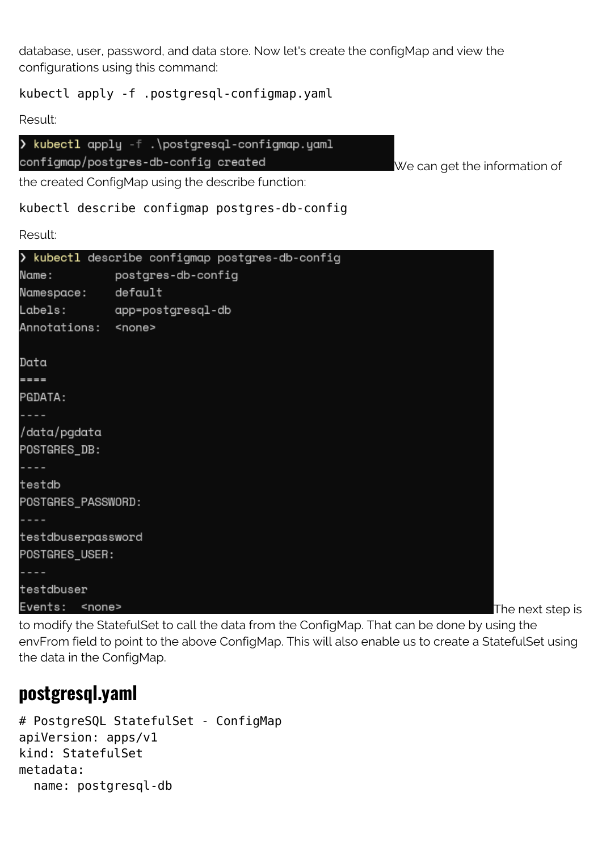database, user, password, and data store. Now let's create the configMap and view the configurations using this command:

#### kubectl apply -f .postgresql-configmap.yaml

Result:

```
> kubectl apply -f .\postgresql-configmap.yaml
configmap/postgres-db-config created
```
We can get the information of

the created ConfigMap using the describe function:

kubectl describe configmap postgres-db-config

Result:

|                            | > kubectl describe configmap postgres-db-config |  |  |  |  |
|----------------------------|-------------------------------------------------|--|--|--|--|
|                            | Name: postgres-db-config                        |  |  |  |  |
| Namespace: default         |                                                 |  |  |  |  |
|                            | Labels: app=postgresql-db                       |  |  |  |  |
| Annotations: <none></none> |                                                 |  |  |  |  |
|                            |                                                 |  |  |  |  |
| Data                       |                                                 |  |  |  |  |
| $=$                        |                                                 |  |  |  |  |
| PGDATA:                    |                                                 |  |  |  |  |
|                            |                                                 |  |  |  |  |
| /data/pgdata               |                                                 |  |  |  |  |
| POSTGRES_DB:               |                                                 |  |  |  |  |
|                            |                                                 |  |  |  |  |
| testdb                     |                                                 |  |  |  |  |
| POSTGRES_PASSWORD:         |                                                 |  |  |  |  |
|                            |                                                 |  |  |  |  |
| testdbuserpassword         |                                                 |  |  |  |  |
| POSTGRES_USER:             |                                                 |  |  |  |  |
|                            |                                                 |  |  |  |  |
| testdbuser                 |                                                 |  |  |  |  |
| Events: <none></none>      |                                                 |  |  |  |  |

The next step is

to modify the StatefulSet to call the data from the ConfigMap. That can be done by using the envFrom field to point to the above ConfigMap. This will also enable us to create a StatefulSet using the data in the ConfigMap.

#### **postgresql.yaml**

```
# PostgreSQL StatefulSet - ConfigMap
apiVersion: apps/v1
kind: StatefulSet
metadata:
   name: postgresql-db
```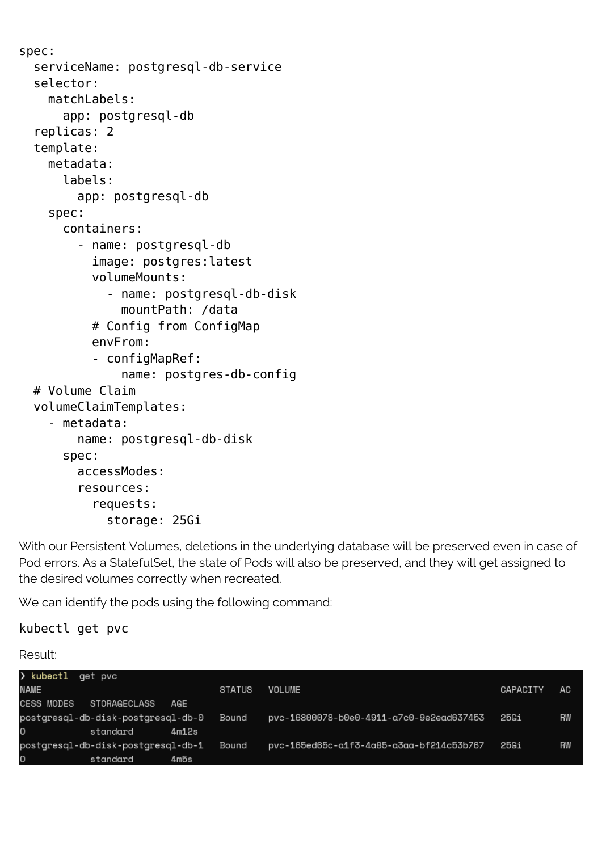```
spec:
   serviceName: postgresql-db-service
   selector:
    match abels:
       app: postgresql-db
   replicas: 2
   template:
     metadata:
       labels:
         app: postgresql-db
     spec:
       containers:
          - name: postgresql-db
            image: postgres:latest
            volumeMounts:
              - name: postgresql-db-disk
                mountPath: /data
            # Config from ConfigMap
            envFrom:
            - configMapRef:
                name: postgres-db-config
   # Volume Claim
   volumeClaimTemplates:
     - metadata:
         name: postgresql-db-disk
       spec:
         accessModes:
         resources:
            requests:
              storage: 25Gi
```
With our Persistent Volumes, deletions in the underlying database will be preserved even in case of Pod errors. As a StatefulSet, the state of Pods will also be preserved, and they will get assigned to the desired volumes correctly when recreated.

We can identify the pods using the following command:

kubectl get pvc

Result:

| $\lambda$ kubectl | aet pvc                            |       |               |                                          |          |    |
|-------------------|------------------------------------|-------|---------------|------------------------------------------|----------|----|
| <b>NAME</b>       |                                    |       | <b>STATUS</b> | <b>VOLUME</b>                            | CAPACITY | AC |
| <b>CESS MODES</b> | STORAGECLASS                       | AGE   |               |                                          |          |    |
|                   | postgresgl-db-disk-postgresgl-db-0 |       | Bound         | pvc-16800078-b0e0-4911-a7c0-9e2ead637453 | 25Gi     | RW |
| O                 | standard                           | 4m12s |               |                                          |          |    |
|                   | postgresql-db-disk-postgresql-db-1 |       | Bound         | pvc-165ed65c-a1f3-4a85-a3aa-bf214c53b767 | 25Gi     | RW |
| O                 | standard                           | 4m5s  |               |                                          |          |    |